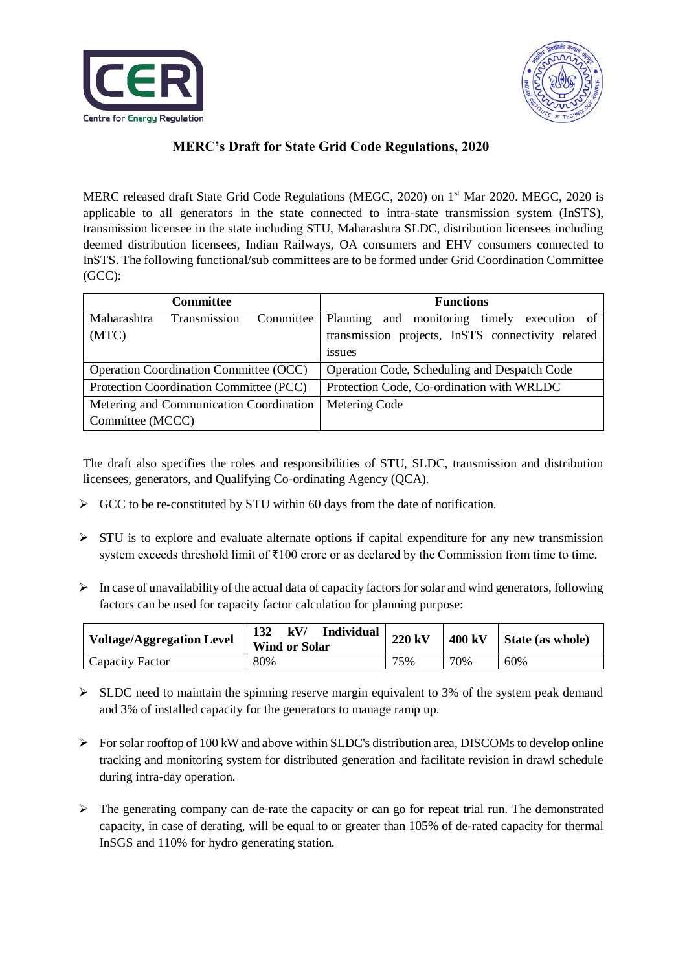



## **MERC's Draft for State Grid Code Regulations, 2020**

MERC released draft State Grid Code Regulations (MEGC, 2020) on 1<sup>st</sup> Mar 2020. MEGC, 2020 is applicable to all generators in the state connected to intra-state transmission system (InSTS), transmission licensee in the state including STU, Maharashtra SLDC, distribution licensees including deemed distribution licensees, Indian Railways, OA consumers and EHV consumers connected to InSTS. The following functional/sub committees are to be formed under Grid Coordination Committee (GCC):

| <b>Committee</b>                              |                     |           | <b>Functions</b>                                                                                       |  |  |  |
|-----------------------------------------------|---------------------|-----------|--------------------------------------------------------------------------------------------------------|--|--|--|
| Maharashtra<br>(MTC)                          | <b>Transmission</b> | Committee | Planning<br>and monitoring<br>timely execution of<br>transmission projects, InSTS connectivity related |  |  |  |
|                                               |                     |           | <i>s</i> sues                                                                                          |  |  |  |
| <b>Operation Coordination Committee (OCC)</b> |                     |           | Operation Code, Scheduling and Despatch Code                                                           |  |  |  |
| Protection Coordination Committee (PCC)       |                     |           | Protection Code, Co-ordination with WRLDC                                                              |  |  |  |
| Metering and Communication Coordination       |                     |           | Metering Code                                                                                          |  |  |  |
| Committee (MCCC)                              |                     |           |                                                                                                        |  |  |  |

The draft also specifies the roles and responsibilities of STU, SLDC, transmission and distribution licensees, generators, and Qualifying Co-ordinating Agency (QCA).

- $\triangleright$  GCC to be re-constituted by STU within 60 days from the date of notification.
- $\triangleright$  STU is to explore and evaluate alternate options if capital expenditure for any new transmission system exceeds threshold limit of ₹100 crore or as declared by the Commission from time to time.
- $\triangleright$  In case of unavailability of the actual data of capacity factors for solar and wind generators, following factors can be used for capacity factor calculation for planning purpose:

| <b>Voltage/Aggregation Level</b> | <b>Individual</b><br>132<br>kV/<br><b>Wind or Solar</b> | 220 kV | 400 kV | State (as whole) |
|----------------------------------|---------------------------------------------------------|--------|--------|------------------|
| Capacity Factor                  | 80%                                                     | 75%    | 70%    | 60%              |

- $\triangleright$  SLDC need to maintain the spinning reserve margin equivalent to 3% of the system peak demand and 3% of installed capacity for the generators to manage ramp up.
- $\triangleright$  For solar rooftop of 100 kW and above within SLDC's distribution area, DISCOMs to develop online tracking and monitoring system for distributed generation and facilitate revision in drawl schedule during intra-day operation.
- $\triangleright$  The generating company can de-rate the capacity or can go for repeat trial run. The demonstrated capacity, in case of derating, will be equal to or greater than 105% of de-rated capacity for thermal InSGS and 110% for hydro generating station.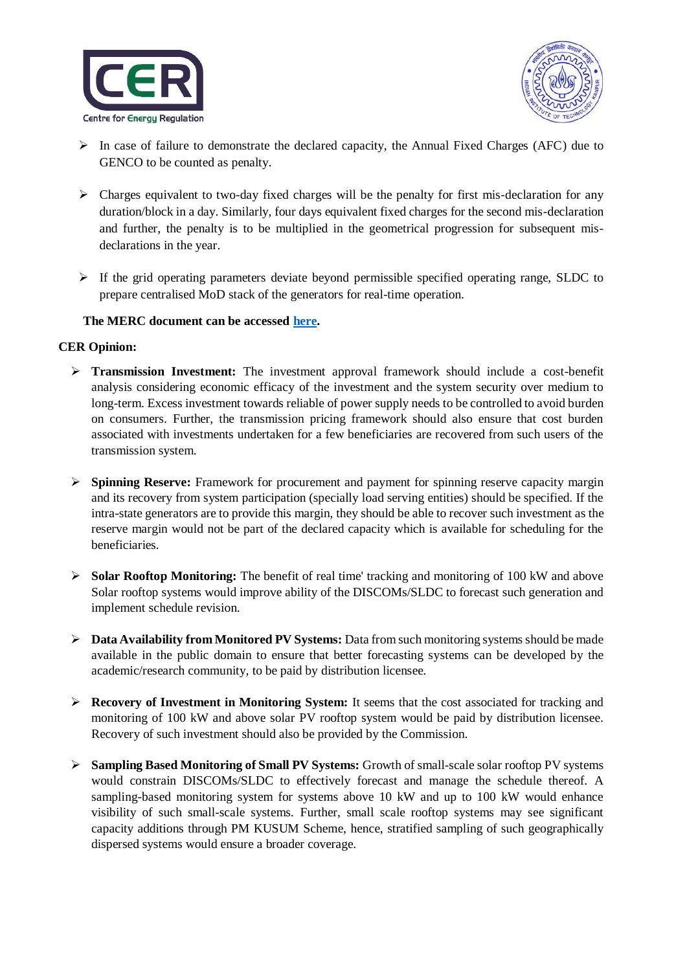



- $\triangleright$  In case of failure to demonstrate the declared capacity, the Annual Fixed Charges (AFC) due to GENCO to be counted as penalty.
- $\triangleright$  Charges equivalent to two-day fixed charges will be the penalty for first mis-declaration for any duration/block in a day. Similarly, four days equivalent fixed charges for the second mis-declaration and further, the penalty is to be multiplied in the geometrical progression for subsequent misdeclarations in the year.
- $\triangleright$  If the grid operating parameters deviate beyond permissible specified operating range, SLDC to prepare centralised MoD stack of the generators for real-time operation.

## **The MERC document can be accessed [here.](https://www.merc.gov.in/faces/merc/common/outputClient.xhtml)**

## **CER Opinion:**

- **Transmission Investment:** The investment approval framework should include a cost-benefit analysis considering economic efficacy of the investment and the system security over medium to long-term. Excess investment towards reliable of power supply needs to be controlled to avoid burden on consumers. Further, the transmission pricing framework should also ensure that cost burden associated with investments undertaken for a few beneficiaries are recovered from such users of the transmission system.
- **Spinning Reserve:** Framework for procurement and payment for spinning reserve capacity margin and its recovery from system participation (specially load serving entities) should be specified. If the intra-state generators are to provide this margin, they should be able to recover such investment as the reserve margin would not be part of the declared capacity which is available for scheduling for the beneficiaries.
- **Solar Rooftop Monitoring:** The benefit of real time' tracking and monitoring of 100 kW and above Solar rooftop systems would improve ability of the DISCOMs/SLDC to forecast such generation and implement schedule revision.
- **Data Availability from Monitored PV Systems:** Data from such monitoring systems should be made available in the public domain to ensure that better forecasting systems can be developed by the academic/research community, to be paid by distribution licensee.
- **Recovery of Investment in Monitoring System:** It seems that the cost associated for tracking and monitoring of 100 kW and above solar PV rooftop system would be paid by distribution licensee. Recovery of such investment should also be provided by the Commission.
- **Sampling Based Monitoring of Small PV Systems:** Growth of small-scale solar rooftop PV systems would constrain DISCOMs/SLDC to effectively forecast and manage the schedule thereof. A sampling-based monitoring system for systems above 10 kW and up to 100 kW would enhance visibility of such small-scale systems. Further, small scale rooftop systems may see significant capacity additions through PM KUSUM Scheme, hence, stratified sampling of such geographically dispersed systems would ensure a broader coverage.